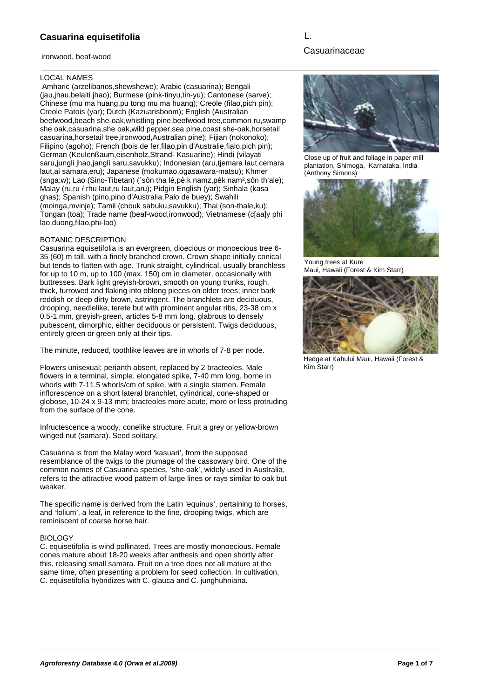ironwood, beaf-wood

# L.

# Casuarinaceae

#### LOCAL NAMES

 Amharic (arzelibanos,shewshewe); Arabic (casuarina); Bengali (jau,jhau,belaiti jhao); Burmese (pink-tinyu,tin-yu); Cantonese (sarve); Chinese (mu ma huang,pu tong mu ma huang); Creole (filao,pich pin); Creole Patois (yar); Dutch (Kazuarisboom); English (Australian beefwood,beach she-oak,whistling pine,beefwood tree,common ru,swamp she oak,casuarina,she oak,wild pepper,sea pine,coast she-oak,horsetail casuarina,horsetail tree,ironwood,Australian pine); Fijian (nokonoko); Filipino (agoho); French (bois de fer,filao,pin d'Australie,fialo,pich pin); German (Keulenßaum,eisenholz,Strand- Kasuarine); Hindi (vilayati saru,jungli jhao,jangli saru,savukku); Indonesian (aru,tjemara laut,cemara laut,ai samara,eru); Japanese (mokumao,ogasawara-matsu); Khmer (snga:w); Lao (Sino-Tibetan) (`sôn tha lé,pè:k namz,pêk nam²,sôn th'ale); Malay (ru,ru / rhu laut,ru laut,aru); Pidgin English (yar); Sinhala (kasa ghas); Spanish (pino,pino d'Australia,Palo de buey); Swahili (moinga,mvinje); Tamil (chouk sabuku,savukku); Thai (son-thale,ku); Tongan (toa); Trade name (beaf-wood,ironwood); Vietnamese (c[aa]y phi lao,duong,filao,phi-lao)

#### BOTANIC DESCRIPTION

Casuarina equisetifolia is an evergreen, dioecious or monoecious tree 6- 35 (60) m tall, with a finely branched crown. Crown shape initially conical but tends to flatten with age. Trunk straight, cylindrical, usually branchless for up to 10 m, up to 100 (max. 150) cm in diameter, occasionally with buttresses. Bark light greyish-brown, smooth on young trunks, rough, thick, furrowed and flaking into oblong pieces on older trees; inner bark reddish or deep dirty brown, astringent. The branchlets are deciduous, drooping, needlelike, terete but with prominent angular ribs, 23-38 cm x 0.5-1 mm, greyish-green, articles 5-8 mm long, glabrous to densely pubescent, dimorphic, either deciduous or persistent. Twigs deciduous, entirely green or green only at their tips.

The minute, reduced, toothlike leaves are in whorls of 7-8 per node.

Flowers unisexual; perianth absent, replaced by 2 bracteoles. Male flowers in a terminal, simple, elongated spike, 7-40 mm long, borne in whorls with 7-11.5 whorls/cm of spike, with a single stamen. Female inflorescence on a short lateral branchlet, cylindrical, cone-shaped or globose, 10-24 x 9-13 mm; bracteoles more acute, more or less protruding from the surface of the cone.

Infructescence a woody, conelike structure. Fruit a grey or yellow-brown winged nut (samara). Seed solitary.

Casuarina is from the Malay word 'kasuari', from the supposed resemblance of the twigs to the plumage of the cassowary bird. One of the common names of Casuarina species, 'she-oak', widely used in Australia, refers to the attractive wood pattern of large lines or rays similar to oak but weaker.

The specific name is derived from the Latin 'equinus', pertaining to horses, and 'folium', a leaf, in reference to the fine, drooping twigs, which are reminiscent of coarse horse hair.

### **BIOLOGY**

C. equisetifolia is wind pollinated. Trees are mostly monoecious. Female cones mature about 18-20 weeks after anthesis and open shortly after this, releasing small samara. Fruit on a tree does not all mature at the same time, often presenting a problem for seed collection. In cultivation, C. equisetifolia hybridizes with C. glauca and C. junghuhniana.



Close up of fruit and foliage in paper mill plantation, Shimoga, Karnataka, India (Anthony Simons)



Young trees at Kure Maui, Hawaii (Forest & Kim Starr)



Hedge at Kahului Maui, Hawaii (Forest & Kim Starr)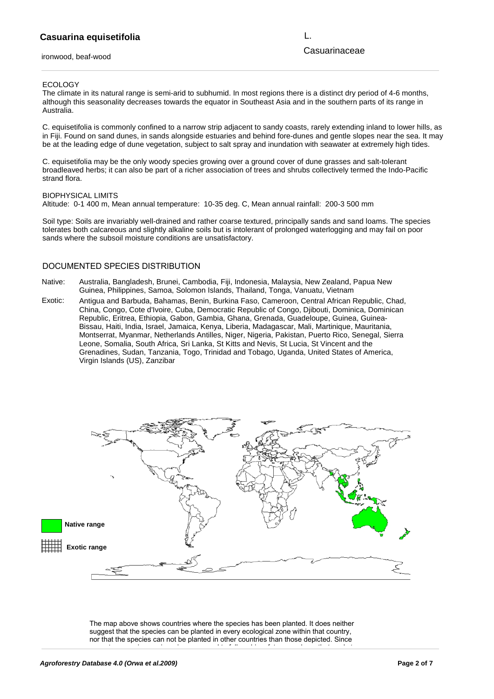ironwood, beaf-wood

L.

Casuarinaceae

#### ECOLOGY

The climate in its natural range is semi-arid to subhumid. In most regions there is a distinct dry period of 4-6 months, although this seasonality decreases towards the equator in Southeast Asia and in the southern parts of its range in Australia.

C. equisetifolia is commonly confined to a narrow strip adjacent to sandy coasts, rarely extending inland to lower hills, as in Fiji. Found on sand dunes, in sands alongside estuaries and behind fore-dunes and gentle slopes near the sea. It may be at the leading edge of dune vegetation, subject to salt spray and inundation with seawater at extremely high tides.

C. equisetifolia may be the only woody species growing over a ground cover of dune grasses and salt-tolerant broadleaved herbs; it can also be part of a richer association of trees and shrubs collectively termed the Indo-Pacific strand flora.

#### BIOPHYSICAL LIMITS

Altitude: 0-1 400 m, Mean annual temperature: 10-35 deg. C, Mean annual rainfall: 200-3 500 mm

Soil type: Soils are invariably well-drained and rather coarse textured, principally sands and sand loams. The species tolerates both calcareous and slightly alkaline soils but is intolerant of prolonged waterlogging and may fail on poor sands where the subsoil moisture conditions are unsatisfactory.

#### DOCUMENTED SPECIES DISTRIBUTION

- Native: Australia, Bangladesh, Brunei, Cambodia, Fiji, Indonesia, Malaysia, New Zealand, Papua New Guinea, Philippines, Samoa, Solomon Islands, Thailand, Tonga, Vanuatu, Vietnam
- Exotic: Antigua and Barbuda, Bahamas, Benin, Burkina Faso, Cameroon, Central African Republic, Chad, China, Congo, Cote d'Ivoire, Cuba, Democratic Republic of Congo, Djibouti, Dominica, Dominican Republic, Eritrea, Ethiopia, Gabon, Gambia, Ghana, Grenada, Guadeloupe, Guinea, Guinea-Bissau, Haiti, India, Israel, Jamaica, Kenya, Liberia, Madagascar, Mali, Martinique, Mauritania, Montserrat, Myanmar, Netherlands Antilles, Niger, Nigeria, Pakistan, Puerto Rico, Senegal, Sierra Leone, Somalia, South Africa, Sri Lanka, St Kitts and Nevis, St Lucia, St Vincent and the Grenadines, Sudan, Tanzania, Togo, Trinidad and Tobago, Uganda, United States of America, Virgin Islands (US), Zanzibar



The map above shows countries where the species has been planted. It does neither suggest that the species can be planted in every ecological zone within that country, nor that the species can not be planted in other countries than those depicted. Since

some tree species are invasive, you need to follow biosafety procedures that apply to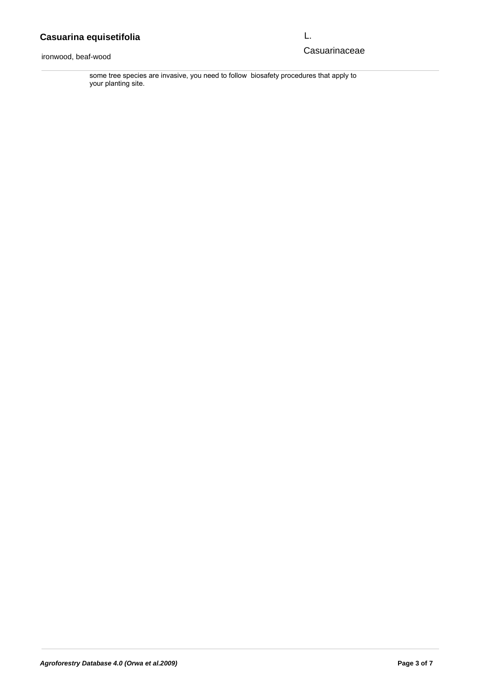ironwood, beaf-wood  $s_{\rm H}$ suggest that the species can be planted in every expected in every expected in every expected in  $\sim$ 

L.

# The map above shows contribute the species where the species where the species  $\mathsf{C}$  asuarinaceae

nor that the species can not be planted in other countries than those depicted. Since some tree species are invasive, you need to follow biosafety procedures that apply to your planting site.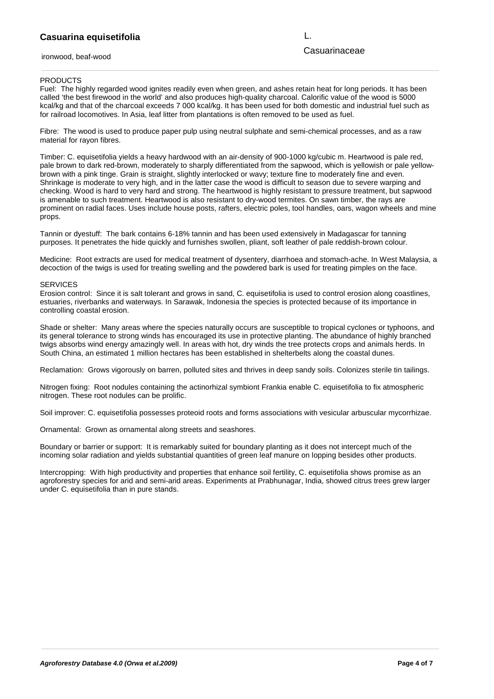#### **Casuarina equisetifolia** entremporante species are invasively biosafety procedures that apply to formation  $\mathsf{L}$ . nor that the species can not be planted in other countries than those depicted. Since

ironwood, beaf-wood

L.

## Casuarinaceae

#### **PRODUCTS**

Fuel: The highly regarded wood ignites readily even when green, and ashes retain heat for long periods. It has been called 'the best firewood in the world' and also produces high-quality charcoal. Calorific value of the wood is 5000 kcal/kg and that of the charcoal exceeds 7 000 kcal/kg. It has been used for both domestic and industrial fuel such as for railroad locomotives. In Asia, leaf litter from plantations is often removed to be used as fuel.

Fibre: The wood is used to produce paper pulp using neutral sulphate and semi-chemical processes, and as a raw material for rayon fibres.

Timber: C. equisetifolia yields a heavy hardwood with an air-density of 900-1000 kg/cubic m. Heartwood is pale red, pale brown to dark red-brown, moderately to sharply differentiated from the sapwood, which is yellowish or pale yellowbrown with a pink tinge. Grain is straight, slightly interlocked or wavy; texture fine to moderately fine and even. Shrinkage is moderate to very high, and in the latter case the wood is difficult to season due to severe warping and checking. Wood is hard to very hard and strong. The heartwood is highly resistant to pressure treatment, but sapwood is amenable to such treatment. Heartwood is also resistant to dry-wood termites. On sawn timber, the rays are prominent on radial faces. Uses include house posts, rafters, electric poles, tool handles, oars, wagon wheels and mine props.

Tannin or dyestuff: The bark contains 6-18% tannin and has been used extensively in Madagascar for tanning purposes. It penetrates the hide quickly and furnishes swollen, pliant, soft leather of pale reddish-brown colour.

Medicine: Root extracts are used for medical treatment of dysentery, diarrhoea and stomach-ache. In West Malaysia, a decoction of the twigs is used for treating swelling and the powdered bark is used for treating pimples on the face.

#### **SERVICES**

Erosion control: Since it is salt tolerant and grows in sand, C. equisetifolia is used to control erosion along coastlines, estuaries, riverbanks and waterways. In Sarawak, Indonesia the species is protected because of its importance in controlling coastal erosion.

Shade or shelter: Many areas where the species naturally occurs are susceptible to tropical cyclones or typhoons, and its general tolerance to strong winds has encouraged its use in protective planting. The abundance of highly branched twigs absorbs wind energy amazingly well. In areas with hot, dry winds the tree protects crops and animals herds. In South China, an estimated 1 million hectares has been established in shelterbelts along the coastal dunes.

Reclamation: Grows vigorously on barren, polluted sites and thrives in deep sandy soils. Colonizes sterile tin tailings.

Nitrogen fixing: Root nodules containing the actinorhizal symbiont Frankia enable C. equisetifolia to fix atmospheric nitrogen. These root nodules can be prolific.

Soil improver: C. equisetifolia possesses proteoid roots and forms associations with vesicular arbuscular mycorrhizae.

Ornamental: Grown as ornamental along streets and seashores.

Boundary or barrier or support: It is remarkably suited for boundary planting as it does not intercept much of the incoming solar radiation and yields substantial quantities of green leaf manure on lopping besides other products.

Intercropping: With high productivity and properties that enhance soil fertility, C. equisetifolia shows promise as an agroforestry species for arid and semi-arid areas. Experiments at Prabhunagar, India, showed citrus trees grew larger under C. equisetifolia than in pure stands.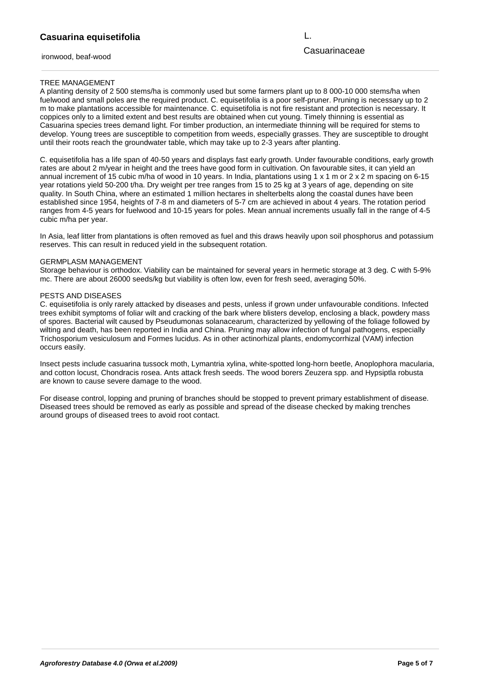ironwood, beaf-wood

L.

# Casuarinaceae

## TREE MANAGEMENT

A planting density of 2 500 stems/ha is commonly used but some farmers plant up to 8 000-10 000 stems/ha when fuelwood and small poles are the required product. C. equisetifolia is a poor self-pruner. Pruning is necessary up to 2 m to make plantations accessible for maintenance. C. equisetifolia is not fire resistant and protection is necessary. It coppices only to a limited extent and best results are obtained when cut young. Timely thinning is essential as Casuarina species trees demand light. For timber production, an intermediate thinning will be required for stems to develop. Young trees are susceptible to competition from weeds, especially grasses. They are susceptible to drought until their roots reach the groundwater table, which may take up to 2-3 years after planting.

C. equisetifolia has a life span of 40-50 years and displays fast early growth. Under favourable conditions, early growth rates are about 2 m/year in height and the trees have good form in cultivation. On favourable sites, it can yield an annual increment of 15 cubic m/ha of wood in 10 years. In India, plantations using 1 x 1 m or 2 x 2 m spacing on 6-15 year rotations yield 50-200 t/ha. Dry weight per tree ranges from 15 to 25 kg at 3 years of age, depending on site quality. In South China, where an estimated 1 million hectares in shelterbelts along the coastal dunes have been established since 1954, heights of 7-8 m and diameters of 5-7 cm are achieved in about 4 years. The rotation period ranges from 4-5 years for fuelwood and 10-15 years for poles. Mean annual increments usually fall in the range of 4-5 cubic m/ha per year.

In Asia, leaf litter from plantations is often removed as fuel and this draws heavily upon soil phosphorus and potassium reserves. This can result in reduced yield in the subsequent rotation.

#### GERMPLASM MANAGEMENT

Storage behaviour is orthodox. Viability can be maintained for several years in hermetic storage at 3 deg. C with 5-9% mc. There are about 26000 seeds/kg but viability is often low, even for fresh seed, averaging 50%.

#### PESTS AND DISEASES

C. equisetifolia is only rarely attacked by diseases and pests, unless if grown under unfavourable conditions. Infected trees exhibit symptoms of foliar wilt and cracking of the bark where blisters develop, enclosing a black, powdery mass of spores. Bacterial wilt caused by Pseudumonas solanacearum, characterized by yellowing of the foliage followed by wilting and death, has been reported in India and China. Pruning may allow infection of fungal pathogens, especially Trichosporium vesiculosum and Formes lucidus. As in other actinorhizal plants, endomycorrhizal (VAM) infection occurs easily.

Insect pests include casuarina tussock moth, Lymantria xylina, white-spotted long-horn beetle, Anoplophora macularia, and cotton locust, Chondracis rosea. Ants attack fresh seeds. The wood borers Zeuzera spp. and Hypsiptla robusta are known to cause severe damage to the wood.

For disease control, lopping and pruning of branches should be stopped to prevent primary establishment of disease. Diseased trees should be removed as early as possible and spread of the disease checked by making trenches around groups of diseased trees to avoid root contact.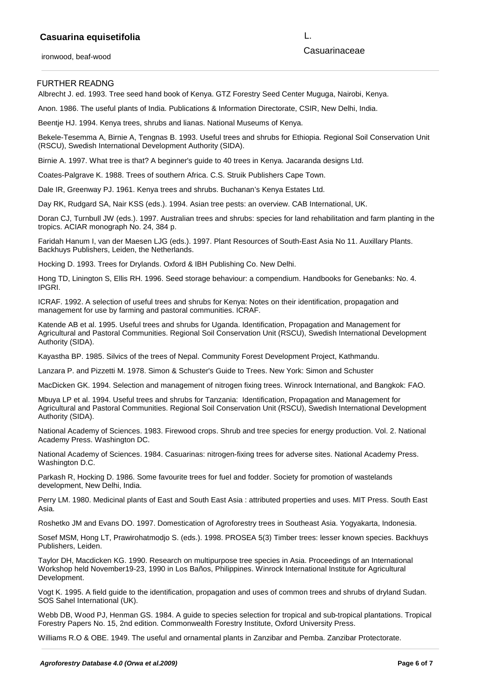ironwood, beaf-wood

FURTHER READNG

Casuarinaceae L.

Albrecht J. ed. 1993. Tree seed hand book of Kenya. GTZ Forestry Seed Center Muguga, Nairobi, Kenya.

Anon. 1986. The useful plants of India. Publications & Information Directorate, CSIR, New Delhi, India.

Beentje HJ. 1994. Kenya trees, shrubs and lianas. National Museums of Kenya.

Bekele-Tesemma A, Birnie A, Tengnas B. 1993. Useful trees and shrubs for Ethiopia. Regional Soil Conservation Unit (RSCU), Swedish International Development Authority (SIDA).

Birnie A. 1997. What tree is that? A beginner's guide to 40 trees in Kenya. Jacaranda designs Ltd.

Coates-Palgrave K. 1988. Trees of southern Africa. C.S. Struik Publishers Cape Town.

Dale IR, Greenway PJ. 1961. Kenya trees and shrubs. Buchanan's Kenya Estates Ltd.

Day RK, Rudgard SA, Nair KSS (eds.). 1994. Asian tree pests: an overview. CAB International, UK.

Doran CJ, Turnbull JW (eds.). 1997. Australian trees and shrubs: species for land rehabilitation and farm planting in the tropics. ACIAR monograph No. 24, 384 p.

Faridah Hanum I, van der Maesen LJG (eds.). 1997. Plant Resources of South-East Asia No 11. Auxillary Plants. Backhuys Publishers, Leiden, the Netherlands.

Hocking D. 1993. Trees for Drylands. Oxford & IBH Publishing Co. New Delhi.

Hong TD, Linington S, Ellis RH. 1996. Seed storage behaviour: a compendium. Handbooks for Genebanks: No. 4. IPGRI.

ICRAF. 1992. A selection of useful trees and shrubs for Kenya: Notes on their identification, propagation and management for use by farming and pastoral communities. ICRAF.

Katende AB et al. 1995. Useful trees and shrubs for Uganda. Identification, Propagation and Management for Agricultural and Pastoral Communities. Regional Soil Conservation Unit (RSCU), Swedish International Development Authority (SIDA).

Kayastha BP. 1985. Silvics of the trees of Nepal. Community Forest Development Project, Kathmandu.

Lanzara P. and Pizzetti M. 1978. Simon & Schuster's Guide to Trees. New York: Simon and Schuster

MacDicken GK. 1994. Selection and management of nitrogen fixing trees. Winrock International, and Bangkok: FAO.

Mbuya LP et al. 1994. Useful trees and shrubs for Tanzania: Identification, Propagation and Management for Agricultural and Pastoral Communities. Regional Soil Conservation Unit (RSCU), Swedish International Development Authority (SIDA).

National Academy of Sciences. 1983. Firewood crops. Shrub and tree species for energy production. Vol. 2. National Academy Press. Washington DC.

National Academy of Sciences. 1984. Casuarinas: nitrogen-fixing trees for adverse sites. National Academy Press. Washington D.C.

Parkash R, Hocking D. 1986. Some favourite trees for fuel and fodder. Society for promotion of wastelands development, New Delhi, India.

Perry LM. 1980. Medicinal plants of East and South East Asia : attributed properties and uses. MIT Press. South East Asia.

Roshetko JM and Evans DO. 1997. Domestication of Agroforestry trees in Southeast Asia. Yogyakarta, Indonesia.

Sosef MSM, Hong LT, Prawirohatmodjo S. (eds.). 1998. PROSEA 5(3) Timber trees: lesser known species. Backhuys Publishers, Leiden.

Taylor DH, Macdicken KG. 1990. Research on multipurpose tree species in Asia. Proceedings of an International Workshop held November19-23, 1990 in Los Baños, Philippines. Winrock International Institute for Agricultural Development.

Vogt K. 1995. A field guide to the identification, propagation and uses of common trees and shrubs of dryland Sudan. SOS Sahel International (UK).

Webb DB, Wood PJ, Henman GS. 1984. A guide to species selection for tropical and sub-tropical plantations. Tropical Forestry Papers No. 15, 2nd edition. Commonwealth Forestry Institute, Oxford University Press.

Williams R.O & OBE. 1949. The useful and ornamental plants in Zanzibar and Pemba. Zanzibar Protectorate.